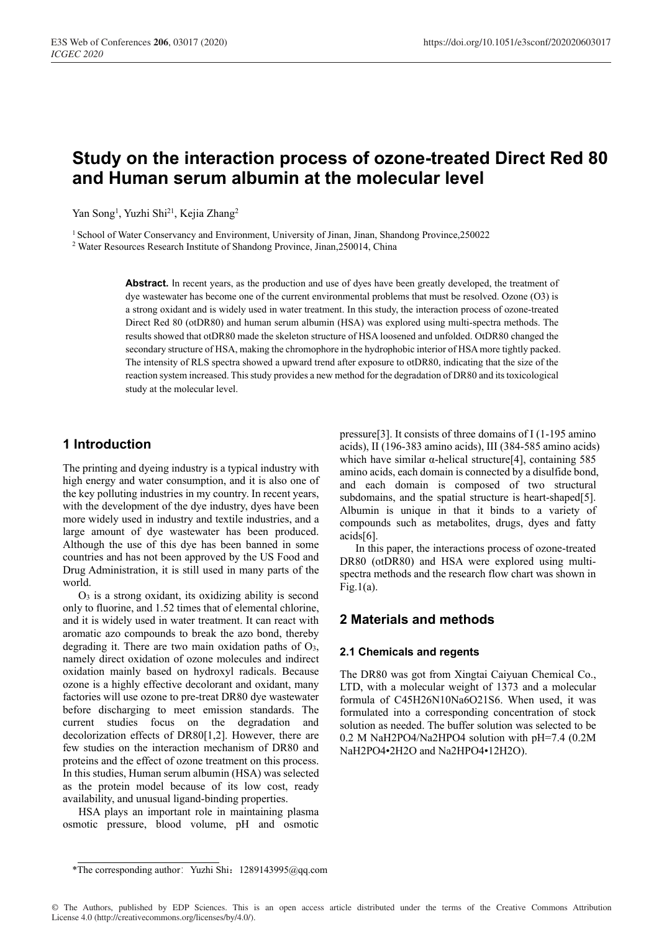# **Study on the interaction process of ozone-treated Direct Red 80 and Human serum albumin at the molecular level**

Yan Song<sup>1</sup>, Yuzhi Shi<sup>21</sup>, Kejia Zhang<sup>2</sup>

<sup>1</sup> School of Water Conservancy and Environment, University of Jinan, Jinan, Shandong Province, 250022<sup>2</sup> Water Resources Research Institute of Shandong Province, Jinan, 250014, China

Abstract. In recent years, as the production and use of dyes have been greatly developed, the treatment of dye wastewater has become one of the current environmental problems that must be resolved. Ozone (O3) is a strong oxidant and is widely used in water treatment. In this study, the interaction process of ozone-treated Direct Red 80 (otDR80) and human serum albumin (HSA) was explored using multi-spectra methods. The results showed that otDR80 made the skeleton structure of HSA loosened and unfolded. OtDR80 changed the secondary structure of HSA, making the chromophore in the hydrophobic interior of HSA more tightly packed. The intensity of RLS spectra showed a upward trend after exposure to otDR80, indicating that the size of the reaction system increased. This study provides a new method for the degradation of DR80 and its toxicological study at the molecular level.

# **1 Introduction**

The printing and dyeing industry is a typical industry with high energy and water consumption, and it is also one of the key polluting industries in my country. In recent years, with the development of the dye industry, dyes have been more widely used in industry and textile industries, and a large amount of dye wastewater has been produced. Although the use of this dye has been banned in some countries and has not been approved by the US Food and Drug Administration, it is still used in many parts of the world.

 $O<sub>3</sub>$  is a strong oxidant, its oxidizing ability is second only to fluorine, and 1.52 times that of elemental chlorine, and it is widely used in water treatment. It can react with aromatic azo compounds to break the azo bond, thereby degrading it. There are two main oxidation paths of  $O_3$ , namely direct oxidation of ozone molecules and indirect oxidation mainly based on hydroxyl radicals. Because ozone is a highly effective decolorant and oxidant, many factories will use ozone to pre-treat DR80 dye wastewater before discharging to meet emission standards. The current studies focus on the degradation and decolorization effects of DR80[1,2]. However, there are few studies on the interaction mechanism of DR80 and proteins and the effect of ozone treatment on this process. In this studies, Human serum albumin (HSA) was selected as the protein model because of its low cost, ready availability, and unusual ligand-binding properties.

HSA plays an important role in maintaining plasma osmotic pressure, blood volume, pH and osmotic pressure[3]. It consists of three domains of I (1-195 amino acids), II (196-383 amino acids), III (384-585 amino acids) which have similar α-helical structure[4], containing 585 amino acids, each domain is connected by a disulfide bond, and each domain is composed of two structural subdomains, and the spatial structure is heart-shaped[5]. Albumin is unique in that it binds to a variety of compounds such as metabolites, drugs, dyes and fatty acids[6].

In this paper, the interactions process of ozone-treated DR80 (otDR80) and HSA were explored using multispectra methods and the research flow chart was shown in  $Fig.1(a)$ .

## **2 Materials and methods**

### **2.1 Chemicals and regents**

The DR80 was got from Xingtai Caiyuan Chemical Co., LTD, with a molecular weight of 1373 and a molecular formula of C45H26N10Na6O21S6. When used, it was formulated into a corresponding concentration of stock solution as needed. The buffer solution was selected to be 0.2 M NaH2PO4/Na2HPO4 solution with pH=7.4 (0.2M NaH2PO4•2H2O and Na2HPO4•12H2O).

<sup>\*</sup>The corresponding author: Yuzhi Shi: 1289143995@qq.com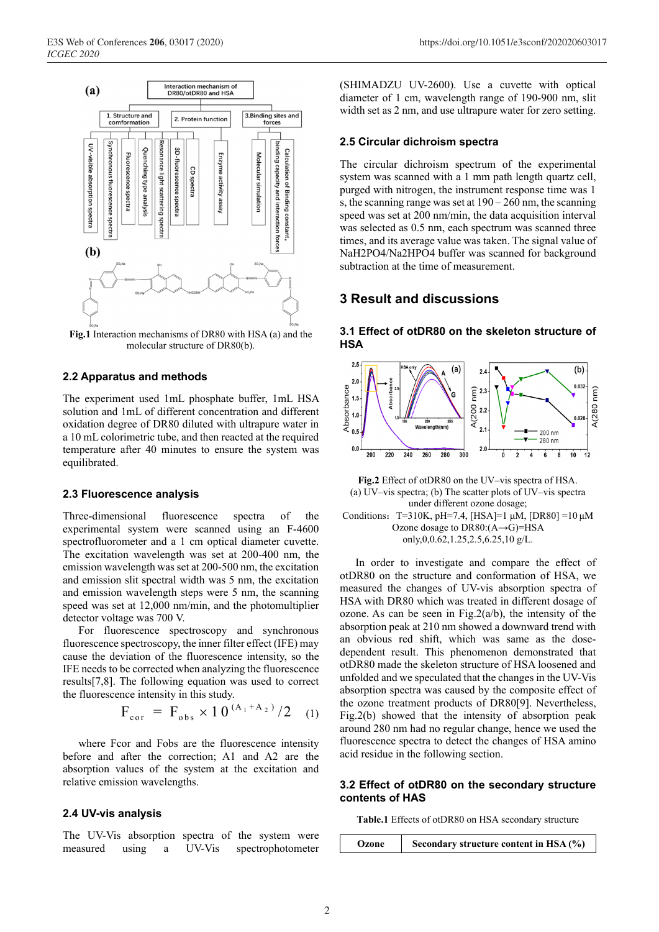

**Fig.1** Interaction mechanisms of DR80 with HSA (a) and the molecular structure of DR80(b).

### **2.2 Apparatus and methods**

The experiment used 1mL phosphate buffer, 1mL HSA solution and 1mL of different concentration and different oxidation degree of DR80 diluted with ultrapure water in a 10 mL colorimetric tube, and then reacted at the required temperature after 40 minutes to ensure the system was equilibrated.

#### **2.3 Fluorescence analysis**

Three-dimensional fluorescence spectra of the experimental system were scanned using an F-4600 spectrofluorometer and a 1 cm optical diameter cuvette. The excitation wavelength was set at 200-400 nm, the emission wavelength was set at 200-500 nm, the excitation and emission slit spectral width was 5 nm, the excitation and emission wavelength steps were 5 nm, the scanning speed was set at 12,000 nm/min, and the photomultiplier detector voltage was 700 V.

For fluorescence spectroscopy and synchronous fluorescence spectroscopy, the inner filter effect (IFE) may cause the deviation of the fluorescence intensity, so the IFE needs to be corrected when analyzing the fluorescence results[7,8]. The following equation was used to correct the fluorescence intensity in this study.

$$
F_{\rm cor} = F_{\rm obs} \times 10^{(A_1 + A_2)}/2 \quad (1)
$$

where Fcor and Fobs are the fluorescence intensity before and after the correction; A1 and A2 are the absorption values of the system at the excitation and relative emission wavelengths.

#### **2.4 UV-vis analysis**

The UV-Vis absorption spectra of the system were measured using a UV-Vis spectrophotometer (SHIMADZU UV-2600). Use a cuvette with optical diameter of 1 cm, wavelength range of 190-900 nm, slit width set as 2 nm, and use ultrapure water for zero setting.

#### **2.5 Circular dichroism spectra**

The circular dichroism spectrum of the experimental system was scanned with a 1 mm path length quartz cell, purged with nitrogen, the instrument response time was 1 s, the scanning range was set at  $190 - 260$  nm, the scanning speed was set at 200 nm/min, the data acquisition interval was selected as 0.5 nm, each spectrum was scanned three times, and its average value was taken. The signal value of NaH2PO4/Na2HPO4 buffer was scanned for background subtraction at the time of measurement.

### **3 Result and discussions**



**3.1 Effect of otDR80 on the skeleton structure of HSA** 

**Fig.2** Effect of otDR80 on the UV–vis spectra of HSA. (a) UV–vis spectra; (b) The scatter plots of UV–vis spectra under different ozone dosage; Conditions: T=310K, pH=7.4, [HSA]=1  $\mu$ M, [DR80] =10  $\mu$ M Ozone dosage to DR80:(A→G)=HSA only,0,0.62,1.25,2.5,6.25,10 g/L.

In order to investigate and compare the effect of otDR80 on the structure and conformation of HSA, we measured the changes of UV-vis absorption spectra of HSA with DR80 which was treated in different dosage of ozone. As can be seen in Fig.2( $a/b$ ), the intensity of the absorption peak at 210 nm showed a downward trend with an obvious red shift, which was same as the dosedependent result. This phenomenon demonstrated that otDR80 made the skeleton structure of HSA loosened and unfolded and we speculated that the changes in the UV-Vis absorption spectra was caused by the composite effect of

the ozone treatment products of DR80[9]. Nevertheless, Fig.2(b) showed that the intensity of absorption peak around 280 nm had no regular change, hence we used the fluorescence spectra to detect the changes of HSA amino acid residue in the following section.

### **3.2 Effect of otDR80 on the secondary structure contents of HAS**

**Table.1** Effects of otDR80 on HSA secondary structure

**Ozone** Secondary structure content in HSA (%)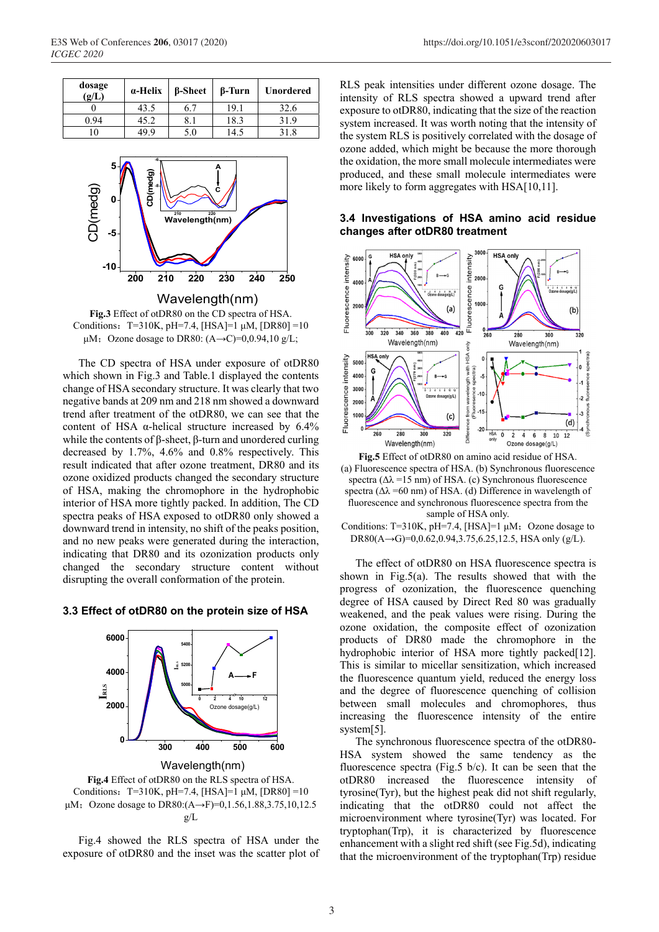| dosage<br>(g/L) | a-Helix | <b>B-Sheet</b> | β-Turn | <b>Unordered</b> |
|-----------------|---------|----------------|--------|------------------|
|                 | 43.5    | 6.7            | 19.1   | 32.6             |
| 0.94            | 45.2    | 0. 1           | 18.3   | 31.9             |
|                 | 49.9    | 5.0            | 14.5   | 31.8             |



**Fig.3** Effect of otDR80 on the CD spectra of HSA. Conditions: T=310K, pH=7.4,  $[HSA]=1 \mu M$ ,  $[DR80]=10$ μM; Ozone dosage to DR80:  $(A\rightarrow C)=0,0.94,10 \text{ g/L}$ ;

The CD spectra of HSA under exposure of otDR80 which shown in Fig.3 and Table.1 displayed the contents change of HSA secondary structure. It was clearly that two negative bands at 209 nm and 218 nm showed a downward trend after treatment of the otDR80, we can see that the content of HSA  $\alpha$ -helical structure increased by 6.4% while the contents of β-sheet, β-turn and unordered curling decreased by 1.7%, 4.6% and 0.8% respectively. This result indicated that after ozone treatment, DR80 and its ozone oxidized products changed the secondary structure of HSA, making the chromophore in the hydrophobic interior of HSA more tightly packed. In addition, The CD spectra peaks of HSA exposed to otDR80 only showed a downward trend in intensity, no shift of the peaks position, and no new peaks were generated during the interaction, indicating that DR80 and its ozonization products only changed the secondary structure content without disrupting the overall conformation of the protein.

#### **3.3 Effect of otDR80 on the protein size of HSA**



Wavelength(nm)

**Fig.4** Effect of otDR80 on the RLS spectra of HSA. Conditions: T=310K, pH=7.4, [HSA]=1  $\mu$ M, [DR80] =10 μM; Ozone dosage to DR80: (A→F)=0,1.56,1.88,3.75,10,12.5 g/L

Fig.4 showed the RLS spectra of HSA under the exposure of otDR80 and the inset was the scatter plot of

RLS peak intensities under different ozone dosage. The intensity of RLS spectra showed a upward trend after exposure to otDR80, indicating that the size of the reaction system increased. It was worth noting that the intensity of the system RLS is positively correlated with the dosage of ozone added, which might be because the more thorough the oxidation, the more small molecule intermediates were produced, and these small molecule intermediates were more likely to form aggregates with HSA[10,11].

### **3.4 Investigations of HSA amino acid residue changes after otDR80 treatment**



**Fig.5** Effect of otDR80 on amino acid residue of HSA. (a) Fluorescence spectra of HSA. (b) Synchronous fluorescence spectra ( $\Delta\lambda$ =15 nm) of HSA. (c) Synchronous fluorescence spectra ( $\Delta\lambda$  =60 nm) of HSA. (d) Difference in wavelength of fluorescence and synchronous fluorescence spectra from the sample of HSA only.

Conditions: T=310K, pH=7.4, [HSA]=1  $\mu$ M; Ozone dosage to DR80(A→G)=0,0.62,0.94,3.75,6.25,12.5, HSA only (g/L).

The effect of otDR80 on HSA fluorescence spectra is shown in Fig.5(a). The results showed that with the progress of ozonization, the fluorescence quenching degree of HSA caused by Direct Red 80 was gradually weakened, and the peak values were rising. During the ozone oxidation, the composite effect of ozonization products of DR80 made the chromophore in the hydrophobic interior of HSA more tightly packed [12]. This is similar to micellar sensitization, which increased the fluorescence quantum yield, reduced the energy loss and the degree of fluorescence quenching of collision between small molecules and chromophores, thus increasing the fluorescence intensity of the entire system[5].

The synchronous fluorescence spectra of the otDR80- HSA system showed the same tendency as the fluorescence spectra (Fig.5 b/c). It can be seen that the otDR80 increased the fluorescence intensity of tyrosine(Tyr), but the highest peak did not shift regularly, indicating that the otDR80 could not affect the microenvironment where tyrosine(Tyr) was located. For tryptophan(Trp), it is characterized by fluorescence enhancement with a slight red shift (see Fig.5d), indicating that the microenvironment of the tryptophan(Trp) residue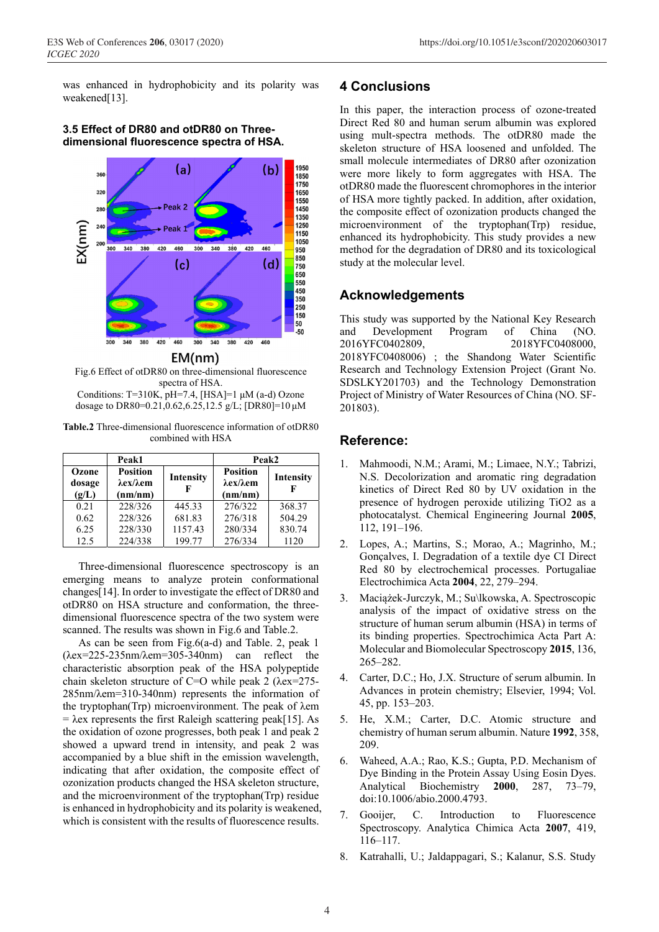was enhanced in hydrophobicity and its polarity was weakened[13].

**3.5 Effect of DR80 and otDR80 on Threedimensional fluorescence spectra of HSA.** 



### $EM(nm)$

Fig.6 Effect of otDR80 on three-dimensional fluorescence spectra of HSA. Conditions: T=310K,  $pH=7.4$ , [HSA]=1  $\mu$ M (a-d) Ozone dosage to DR80=0.21,0.62,6.25,12.5 g/L; [DR80]=10 μM

**Table.2** Three-dimensional fluorescence information of otDR80 combined with HSA

|                          | Peak1                                                    |           | Peak2                                                    |           |
|--------------------------|----------------------------------------------------------|-----------|----------------------------------------------------------|-----------|
| Ozone<br>dosage<br>(g/L) | <b>Position</b><br>$\lambda$ ex/ $\lambda$ em<br>(nm/nm) | Intensity | <b>Position</b><br>$\lambda$ ex/ $\lambda$ em<br>(nm/nm) | Intensity |
| 0.21                     | 228/326                                                  | 445.33    | 276/322                                                  | 368.37    |
| 0.62                     | 228/326                                                  | 681.83    | 276/318                                                  | 504.29    |
| 6.25                     | 228/330                                                  | 1157.43   | 280/334                                                  | 830.74    |
| 12.5                     | 224/338                                                  | 199.77    | 276/334                                                  | 1120      |

Three-dimensional fluorescence spectroscopy is an emerging means to analyze protein conformational changes[14]. In order to investigate the effect of DR80 and otDR80 on HSA structure and conformation, the threedimensional fluorescence spectra of the two system were scanned. The results was shown in Fig.6 and Table.2.

As can be seen from Fig.6(a-d) and Table. 2, peak 1  $(\lambda$ ex=225-235nm/ $\lambda$ em=305-340nm) can reflect the characteristic absorption peak of the HSA polypeptide chain skeleton structure of C=O while peak 2 (λex=275- 285nm/λem=310-340nm) represents the information of the tryptophan(Trp) microenvironment. The peak of λem  $= \lambda$ ex represents the first Raleigh scattering peak[15]. As the oxidation of ozone progresses, both peak 1 and peak 2 showed a upward trend in intensity, and peak 2 was accompanied by a blue shift in the emission wavelength, indicating that after oxidation, the composite effect of ozonization products changed the HSA skeleton structure, and the microenvironment of the tryptophan(Trp) residue is enhanced in hydrophobicity and its polarity is weakened, which is consistent with the results of fluorescence results.

### **4 Conclusions**

In this paper, the interaction process of ozone-treated Direct Red 80 and human serum albumin was explored using mult-spectra methods. The otDR80 made the skeleton structure of HSA loosened and unfolded. The small molecule intermediates of DR80 after ozonization were more likely to form aggregates with HSA. The otDR80 made the fluorescent chromophores in the interior of HSA more tightly packed. In addition, after oxidation, the composite effect of ozonization products changed the microenvironment of the tryptophan(Trp) residue, enhanced its hydrophobicity. This study provides a new method for the degradation of DR80 and its toxicological study at the molecular level.

### **Acknowledgements**

This study was supported by the National Key Research and Development Program of China (NO. 2016YFC0402809, 2018YFC0408000, 2018YFC0408006) ; the Shandong Water Scientific Research and Technology Extension Project (Grant No. SDSLKY201703) and the Technology Demonstration Project of Ministry of Water Resources of China (NO. SF-201803).

### **Reference:**

- 1. Mahmoodi, N.M.; Arami, M.; Limaee, N.Y.; Tabrizi, N.S. Decolorization and aromatic ring degradation kinetics of Direct Red 80 by UV oxidation in the presence of hydrogen peroxide utilizing TiO2 as a photocatalyst. Chemical Engineering Journal **2005**, 112, 191–196.
- 2. Lopes, A.; Martins, S.; Morao, A.; Magrinho, M.; Gonçalves, I. Degradation of a textile dye CI Direct Red 80 by electrochemical processes. Portugaliae Electrochimica Acta **2004**, 22, 279–294.
- 3. Maciążek-Jurczyk, M.; Su\lkowska, A. Spectroscopic analysis of the impact of oxidative stress on the structure of human serum albumin (HSA) in terms of its binding properties. Spectrochimica Acta Part A: Molecular and Biomolecular Spectroscopy **2015**, 136, 265–282.
- 4. Carter, D.C.; Ho, J.X. Structure of serum albumin. In Advances in protein chemistry; Elsevier, 1994; Vol. 45, pp. 153–203.
- 5. He, X.M.; Carter, D.C. Atomic structure and chemistry of human serum albumin. Nature **1992**, 358, 209.
- 6. Waheed, A.A.; Rao, K.S.; Gupta, P.D. Mechanism of Dye Binding in the Protein Assay Using Eosin Dyes. Analytical Biochemistry **2000**, 287, 73–79, doi:10.1006/abio.2000.4793.
- 7. Gooijer, C. Introduction to Fluorescence Spectroscopy. Analytica Chimica Acta **2007**, 419, 116–117.
- 8. Katrahalli, U.; Jaldappagari, S.; Kalanur, S.S. Study